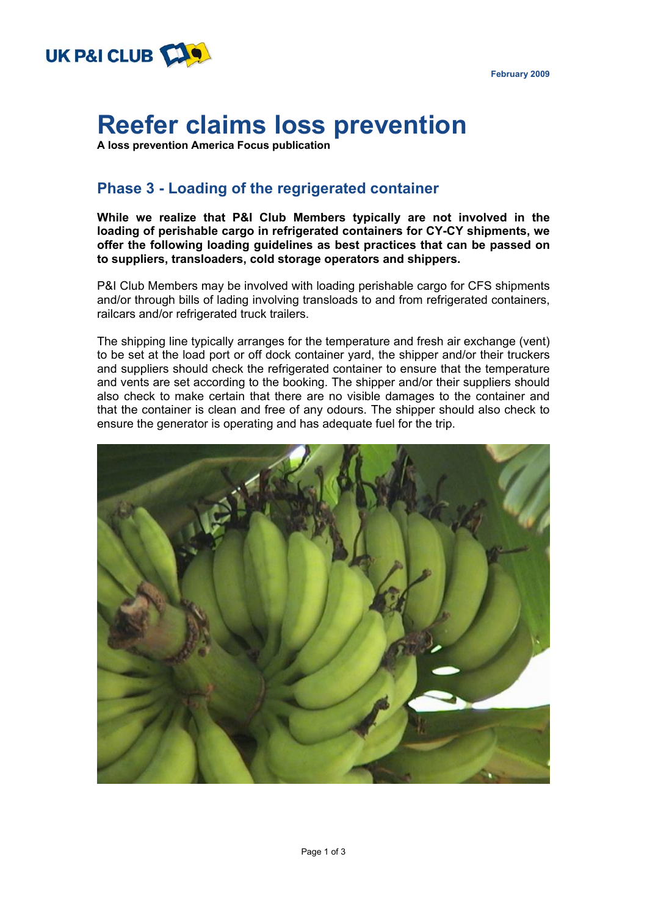

**February 2009** 

# **Reefer claims loss prevention**

**A loss prevention America Focus publication**

## **Phase 3 - Loading of the regrigerated container**

**While we realize that P&I Club Members typically are not involved in the loading of perishable cargo in refrigerated containers for CY-CY shipments, we offer the following loading guidelines as best practices that can be passed on to suppliers, transloaders, cold storage operators and shippers.** 

P&I Club Members may be involved with loading perishable cargo for CFS shipments and/or through bills of lading involving transloads to and from refrigerated containers, railcars and/or refrigerated truck trailers.

The shipping line typically arranges for the temperature and fresh air exchange (vent) to be set at the load port or off dock container yard, the shipper and/or their truckers and suppliers should check the refrigerated container to ensure that the temperature and vents are set according to the booking. The shipper and/or their suppliers should also check to make certain that there are no visible damages to the container and that the container is clean and free of any odours. The shipper should also check to ensure the generator is operating and has adequate fuel for the trip.

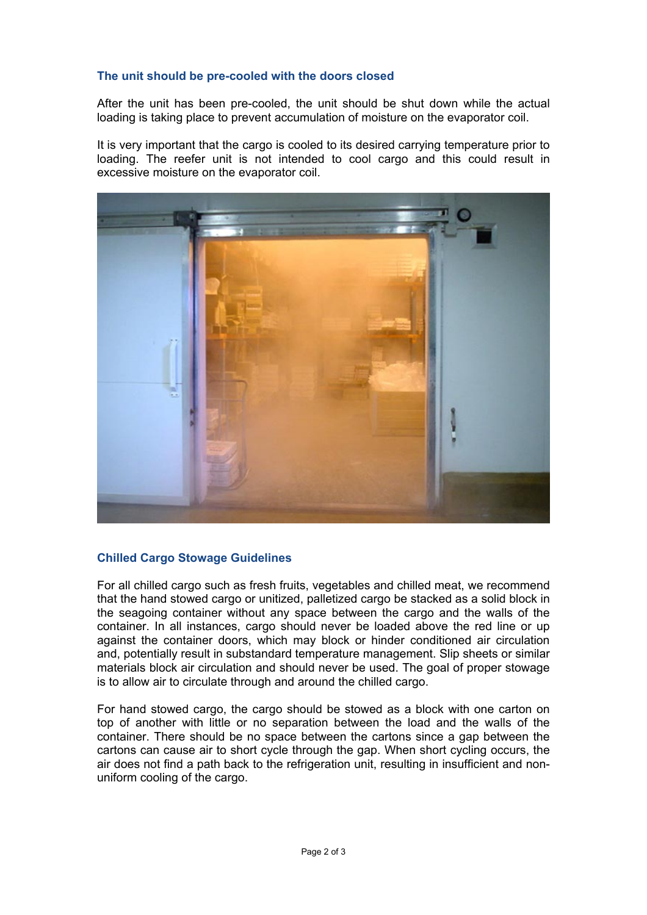### **The unit should be pre-cooled with the doors closed**

After the unit has been pre-cooled, the unit should be shut down while the actual loading is taking place to prevent accumulation of moisture on the evaporator coil.

It is very important that the cargo is cooled to its desired carrying temperature prior to loading. The reefer unit is not intended to cool cargo and this could result in excessive moisture on the evaporator coil.



### **Chilled Cargo Stowage Guidelines**

For all chilled cargo such as fresh fruits, vegetables and chilled meat, we recommend that the hand stowed cargo or unitized, palletized cargo be stacked as a solid block in the seagoing container without any space between the cargo and the walls of the container. In all instances, cargo should never be loaded above the red line or up against the container doors, which may block or hinder conditioned air circulation and, potentially result in substandard temperature management. Slip sheets or similar materials block air circulation and should never be used. The goal of proper stowage is to allow air to circulate through and around the chilled cargo.

For hand stowed cargo, the cargo should be stowed as a block with one carton on top of another with little or no separation between the load and the walls of the container. There should be no space between the cartons since a gap between the cartons can cause air to short cycle through the gap. When short cycling occurs, the air does not find a path back to the refrigeration unit, resulting in insufficient and nonuniform cooling of the cargo.